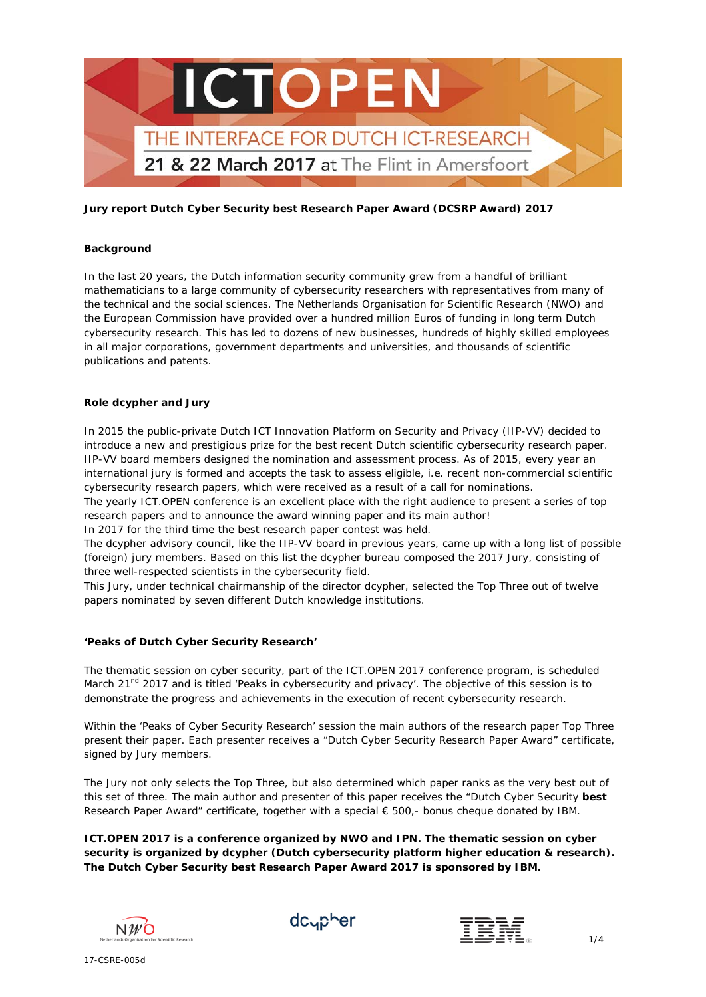

#### **Background**

In the last 20 years, the Dutch information security community grew from a handful of brilliant mathematicians to a large community of cybersecurity researchers with representatives from many of the technical and the social sciences. The Netherlands Organisation for Scientific Research (NWO) and the European Commission have provided over a hundred million Euros of funding in long term Dutch cybersecurity research. This has led to dozens of new businesses, hundreds of highly skilled employees in all major corporations, government departments and universities, and thousands of scientific publications and patents.

#### **Role dcypher and Jury**

In 2015 the public-private Dutch ICT Innovation Platform on Security and Privacy (IIP-VV) decided to introduce a new and prestigious prize for the best recent Dutch scientific cybersecurity research paper. IIP-VV board members designed the nomination and assessment process. As of 2015, every year an international jury is formed and accepts the task to assess eligible, i.e. recent non-commercial scientific cybersecurity research papers, which were received as a result of a call for nominations.

The yearly ICT.OPEN conference is an excellent place with the right audience to present a series of top research papers and to announce the award winning paper and its main author!

In 2017 for the third time the best research paper contest was held.

The dcypher advisory council, like the IIP-VV board in previous years, came up with a long list of possible (foreign) jury members. Based on this list the dcypher bureau composed the 2017 Jury, consisting of three well-respected scientists in the cybersecurity field.

This Jury, under technical chairmanship of the director dcypher, selected the Top Three out of twelve papers nominated by seven different Dutch knowledge institutions.

#### **'Peaks of Dutch Cyber Security Research'**

The thematic session on cyber security, part of the ICT.OPEN 2017 conference program, is scheduled March 21<sup>nd</sup> 2017 and is titled '*Peaks in cybersecurity and privacy*'. The objective of this session is to demonstrate the progress and achievements in the execution of recent cybersecurity research.

Within the '*Peaks of Cyber Security Research*' session the main authors of the research paper Top Three present their paper. Each presenter receives a "Dutch Cyber Security Research Paper Award" certificate, signed by Jury members.

The Jury not only selects the Top Three, but also determined which paper ranks as the very best out of this set of three. The main author and presenter of this paper receives the "Dutch Cyber Security **best** Research Paper Award" certificate, together with a special € 500,- bonus cheque donated by IBM.

**ICT.OPEN 2017 is a conference organized by NWO and IPN. The thematic session on cyber security is organized by dcypher (Dutch cybersecurity platform higher education & research). The Dutch Cyber Security best Research Paper Award 2017 is sponsored by IBM.**





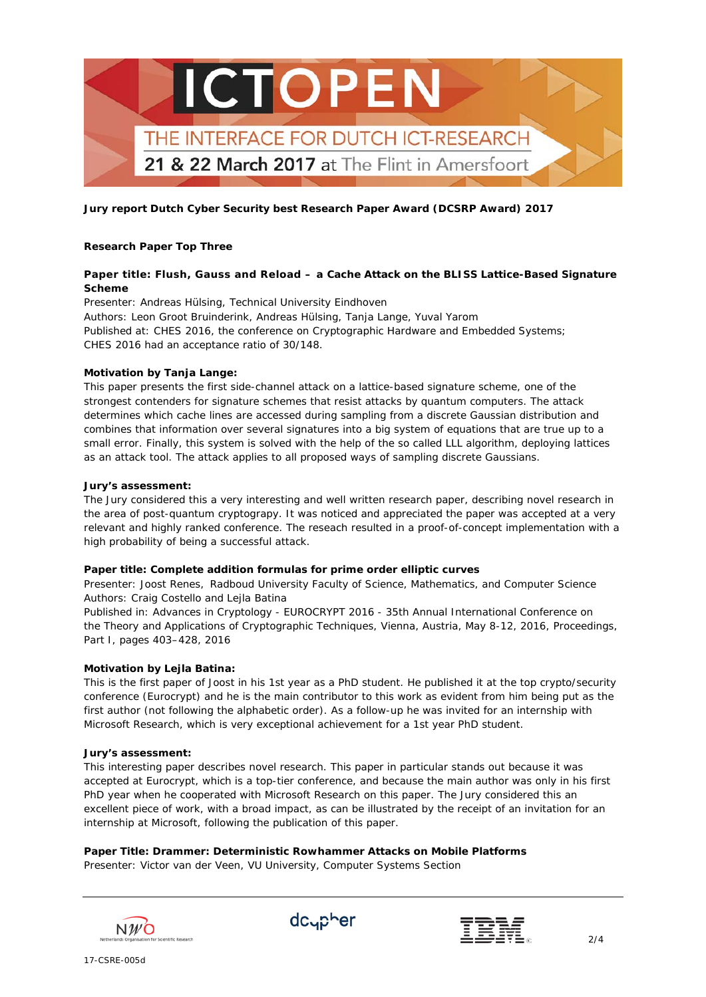

# **Research Paper Top Three**

# **Paper title: Flush, Gauss and Reload – a Cache Attack on the BLISS Lattice-Based Signature Scheme**

*Presenter: Andreas Hülsing, Technical University Eindhoven Authors: Leon Groot Bruinderink, Andreas Hülsing, Tanja Lange, Yuval Yarom Published at*: CHES 2016, the conference on Cryptographic Hardware and Embedded Systems; CHES 2016 had an acceptance ratio of 30/148.

## **Motivation by Tanja Lange:**

This paper presents the first side-channel attack on a lattice-based signature scheme, one of the strongest contenders for signature schemes that resist attacks by quantum computers. The attack determines which cache lines are accessed during sampling from a discrete Gaussian distribution and combines that information over several signatures into a big system of equations that are true up to a small error. Finally, this system is solved with the help of the so called LLL algorithm, deploying lattices as an attack tool. The attack applies to all proposed ways of sampling discrete Gaussians.

#### **Jury's assessment:**

The Jury considered this a very interesting and well written research paper, describing novel research in the area of post-quantum cryptograpy. It was noticed and appreciated the paper was accepted at a very relevant and highly ranked conference. The reseach resulted in a proof-of-concept implementation with a high probability of being a successful attack.

## **Paper title: Complete addition formulas for prime order elliptic curves**

*Presenter: Joost Renes, Radboud University Faculty of Science, Mathematics, and Computer Science Authors: Craig Costello and Lejla Batina*

*Published in*: Advances in Cryptology - EUROCRYPT 2016 - 35th Annual International Conference on the Theory and Applications of Cryptographic Techniques, Vienna, Austria, May 8-12, 2016, Proceedings, Part I, pages 403–428, 2016

## **Motivation by Lejla Batina:**

This is the first paper of Joost in his 1st year as a PhD student. He published it at the top crypto/security conference (Eurocrypt) and he is the main contributor to this work as evident from him being put as the first author (not following the alphabetic order). As a follow-up he was invited for an internship with Microsoft Research, which is very exceptional achievement for a 1st year PhD student.

#### **Jury's assessment:**

This interesting paper describes novel research. This paper in particular stands out because it was accepted at Eurocrypt, which is a top-tier conference, and because the main author was only in his first PhD year when he cooperated with Microsoft Research on this paper. The Jury considered this an excellent piece of work, with a broad impact, as can be illustrated by the receipt of an invitation for an internship at Microsoft, following the publication of this paper.

## **Paper Title: Drammer: Deterministic Rowhammer Attacks on Mobile Platforms**

*Presenter: Victor van der Veen, VU University, Computer Systems Section*





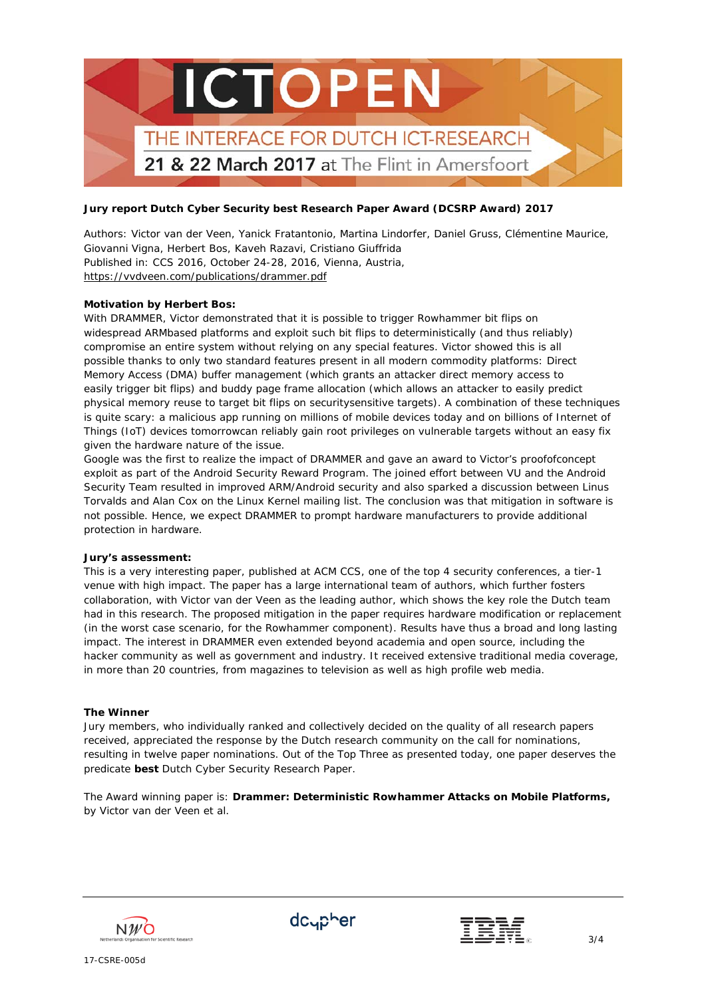

*Authors: Victor van der Veen, Yanick Fratantonio, Martina Lindorfer, Daniel Gruss, Clémentine Maurice, Giovanni Vigna, Herbert Bos, Kaveh Razavi, Cristiano Giuffrida Published in*: CCS 2016, October 24-28, 2016, Vienna, Austria, <https://vvdveen.com/publications/drammer.pdf>

## **Motivation by Herbert Bos:**

With DRAMMER, Victor demonstrated that it is possible to trigger Rowhammer bit flips on widespread ARMbased platforms and exploit such bit flips to deterministically (and thus reliably) compromise an entire system without relying on any special features. Victor showed this is all possible thanks to only two standard features present in all modern commodity platforms: Direct Memory Access (DMA) buffer management (which grants an attacker direct memory access to easily trigger bit flips) and buddy page frame allocation (which allows an attacker to easily predict physical memory reuse to target bit flips on securitysensitive targets). A combination of these techniques is quite scary: a malicious app running on millions of mobile devices today and on billions of Internet of Things (IoT) devices tomorrowcan reliably gain root privileges on vulnerable targets without an easy fix given the hardware nature of the issue.

Google was the first to realize the impact of DRAMMER and gave an award to Victor's proofofconcept exploit as part of the Android Security Reward Program. The joined effort between VU and the Android Security Team resulted in improved ARM/Android security and also sparked a discussion between Linus Torvalds and Alan Cox on the Linux Kernel mailing list. The conclusion was that mitigation in software is not possible. Hence, we expect DRAMMER to prompt hardware manufacturers to provide additional protection in hardware.

#### **Jury's assessment:**

This is a very interesting paper, published at ACM CCS, one of the top 4 security conferences, a tier-1 venue with high impact. The paper has a large international team of authors, which further fosters collaboration, with Victor van der Veen as the leading author, which shows the key role the Dutch team had in this research. The proposed mitigation in the paper requires hardware modification or replacement (in the worst case scenario, for the Rowhammer component). Results have thus a broad and long lasting impact. The interest in DRAMMER even extended beyond academia and open source, including the hacker community as well as government and industry. It received extensive traditional media coverage, in more than 20 countries, from magazines to television as well as high profile web media.

## **The Winner**

Jury members, who individually ranked and collectively decided on the quality of all research papers received, appreciated the response by the Dutch research community on the call for nominations, resulting in twelve paper nominations. Out of the Top Three as presented today, one paper deserves the predicate **best** Dutch Cyber Security Research Paper.

The Award winning paper is: **Drammer: Deterministic Rowhammer Attacks on Mobile Platforms,**  by Victor van der Veen et al.